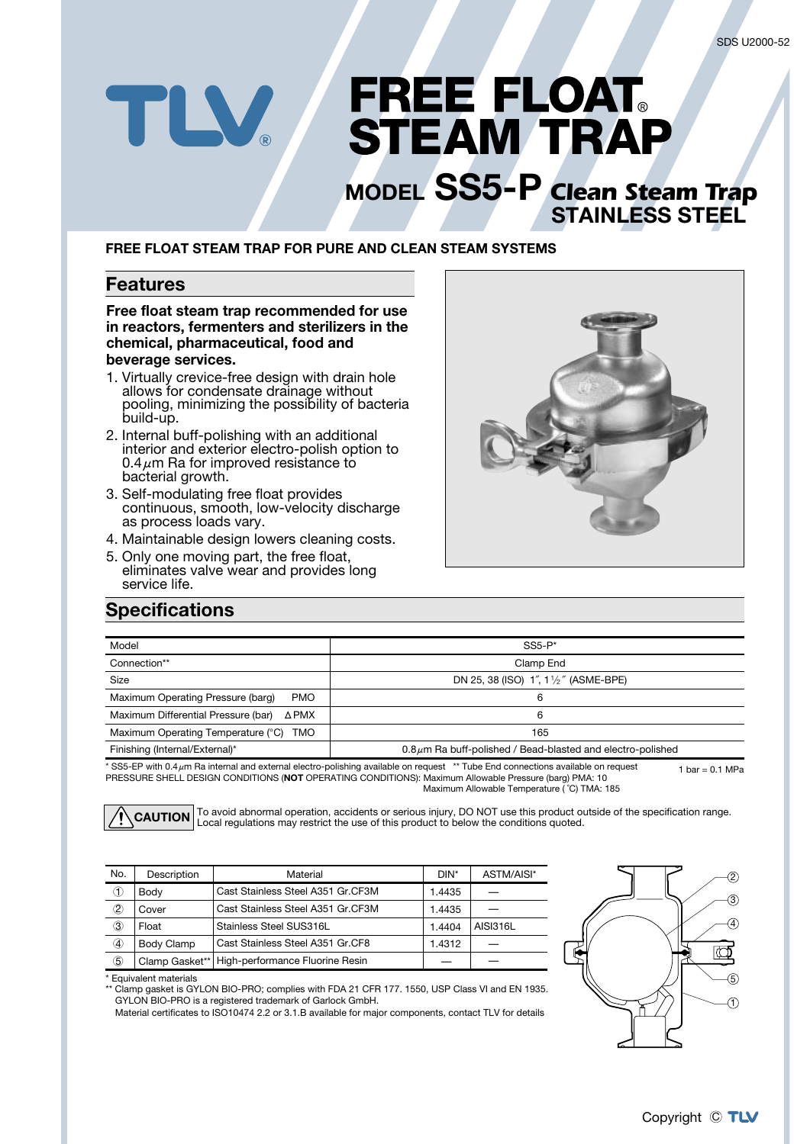# **FREE FLOAT. STEAM TRAP MODEL** SS5-P Clean Steam Trap

### **FREE FLOAT STEAM TRAP FOR PURE AND CLEAN STEAM SYSTEMS**

#### **Features**

TLV.

**Free float steam trap recommended for use** in reactors, fermenters and sterilizers in the chemical, pharmaceutical, food and beverage services.

- 1. Virtually crevice-free design with drain hole allows for condensate drainage without pooling, minimizing the possibility of bacteria build-up.
- 2. Internal buff-polishing with an additional interior and exterior electro-polish option to 0.4 $\mu$ m Ra for improved resistance to bacterial growth.
- 3. Self-modulating free float provides continuous, smooth, low-velocity discharge as process loads vary.
- 4. Maintainable design lowers cleaning costs.
- 5. Only one moving part, the free float. eliminates valve wear and provides long service life.



**STAINLESS STEEL** 

### **Specifications**

| Model                                           | $SS5-P*$                                                         |
|-------------------------------------------------|------------------------------------------------------------------|
| Connection**                                    | Clamp End                                                        |
| Size                                            | DN 25, 38 (ISO) 1", 11/2" (ASME-BPE)                             |
| Maximum Operating Pressure (barg)<br><b>PMO</b> | 6                                                                |
| Maximum Differential Pressure (bar)<br>ΔPMX     | 6                                                                |
| Maximum Operating Temperature (°C) TMO          | 165                                                              |
| Finishing (Internal/External)*                  | $0.8 \mu$ m Ra buff-polished / Bead-blasted and electro-polished |

1 har  $= 0.1$  MPa \* SS5-EP with 0.4 µm Ra internal and external electro-polishing available on request \*\* Tube End connections available on request PRESSURE SHELL DESIGN CONDITIONS (NOT OPERATING CONDITIONS): Maximum Allowable Pressure (barg) PMA: 10

Maximum Allowable Temperature (°C) TMA: 185

**CAUTION** To avoid abnormal operation, accidents or serious injury, DO NOT use this product outside of the specification range.<br>**CAUTION** Local regulations may restrict the use of this product to below the conditions quote

| No.            | Description    | Material                          | $DIN^*$ | ASTM/AISI*      |  |
|----------------|----------------|-----------------------------------|---------|-----------------|--|
| ➀              | Body           | Cast Stainless Steel A351 Gr.CF3M | 1.4435  |                 |  |
| 2              | Cover          | Cast Stainless Steel A351 Gr.CF3M | 1.4435  |                 |  |
| 3              | Float          | Stainless Steel SUS316L           | 1.4404  | <b>AISI316L</b> |  |
| 4              | Body Clamp     | Cast Stainless Steel A351 Gr.CF8  | 1.4312  |                 |  |
| $_{\circledS}$ | Clamp Gasket** | High-performance Fluorine Resin   |         |                 |  |



\* Equivalent materials

 $^{\circ}$  Clamp gasket is GYLON BIO-PRO; complies with FDA 21 CFR 177. 1550, USP Class VI and EN 1935. GYLON BIO-PRO is a registered trademark of Garlock GmbH.

Material certificates to ISO10474 2.2 or 3.1.B available for major components, contact TLV for details